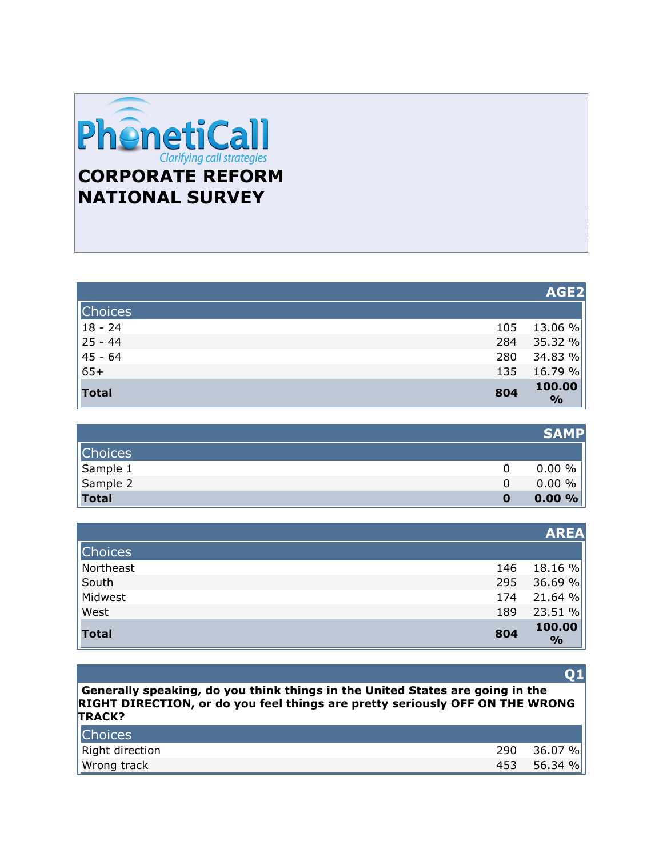

|                |     | AGE2                    |
|----------------|-----|-------------------------|
| <b>Choices</b> |     |                         |
| $ 18 - 24$     | 105 | 13.06 %                 |
| $  25 - 44$    | 284 | 35.32 %                 |
| $  45 - 64$    | 280 | 34.83 %                 |
| $65+$          | 135 | 16.79 %                 |
| <b>Total</b>   | 804 | 100.00<br>$\frac{6}{9}$ |

|                  |   | <b>SAMP</b> |
|------------------|---|-------------|
| <b>Choices</b>   |   |             |
| $\vert$ Sample 1 |   | $0.00 \%$   |
| Sample 2         |   | $0.00 \%$   |
| <b>Total</b>     | 0 | 0.00%       |

|                |     | <b>AREA</b>             |
|----------------|-----|-------------------------|
| <b>Choices</b> |     |                         |
| Northeast      | 146 | 18.16 %                 |
| South          | 295 | 36.69 %                 |
| Midwest        | 174 | 21.64%                  |
| West           | 189 | 23.51 %                 |
| Total          | 804 | 100.00<br>$\frac{0}{0}$ |

#### **Q1**

**Generally speaking, do you think things in the United States are going in the RIGHT DIRECTION, or do you feel things are pretty seriously OFF ON THE WRONG TRACK?** 

| <b>Choices</b>  |     |         |
|-----------------|-----|---------|
| Right direction | 290 | 36.07 % |
| Wrong track     | 453 | 56.34 % |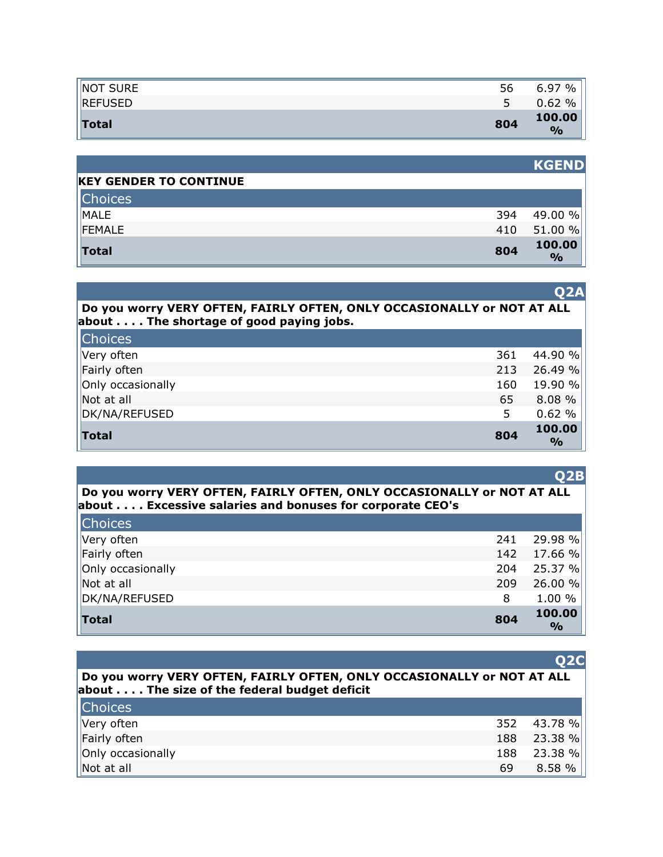| NOT SURE       | 56  | 6.97<br>$\%$            |
|----------------|-----|-------------------------|
| <b>REFUSED</b> |     | $\%$<br>0.62            |
| <b>Total</b>   | 804 | 100.00<br>$\frac{0}{0}$ |

|                               |     | <b>KGEND</b>            |
|-------------------------------|-----|-------------------------|
| <b>KEY GENDER TO CONTINUE</b> |     |                         |
| <b>Choices</b>                |     |                         |
| MALE                          | 394 | 49.00 %                 |
| FEMALE                        | 410 | 51.00 %                 |
| <b>Total</b>                  | 804 | 100.00<br>$\frac{0}{0}$ |

|                                                                                                                   | <b>O2A</b> |
|-------------------------------------------------------------------------------------------------------------------|------------|
| Do you worry VERY OFTEN, FAIRLY OFTEN, ONLY OCCASIONALLY or NOT AT ALL<br>about The shortage of good paying jobs. |            |
|                                                                                                                   |            |

| <b>Choices</b><br>Very often | 361 | 44.90 %                 |
|------------------------------|-----|-------------------------|
| Fairly often                 | 213 | 26.49 %                 |
| Only occasionally            | 160 | 19.90 %                 |
| Not at all                   | 65  | 8.08 %                  |
| DK/NA/REFUSED                | 5   | 0.62%                   |
| <b>Total</b>                 | 804 | 100.00<br>$\frac{1}{2}$ |

| Do you worry VERY OFTEN, FAIRLY OFTEN, ONLY OCCASIONALLY or NOT AT ALL |  |
|------------------------------------------------------------------------|--|
| about Excessive salaries and bonuses for corporate CEO's               |  |

| <b>Total</b>      | 804 | 100.00<br>$\frac{0}{0}$ |
|-------------------|-----|-------------------------|
| DK/NA/REFUSED     | 8   | 1.00 %                  |
| Not at all        | 209 | 26.00 %                 |
| Only occasionally | 204 | 25.37 %                 |
| Fairly often      | 142 | 17.66 %                 |
| Very often        | 241 | 29.98 %                 |
| <b>Choices</b>    |     |                         |

| Do you worry VERY OFTEN, FAIRLY OFTEN, ONLY OCCASIONALLY or NOT AT ALL<br>about The size of the federal budget deficit |     |         |
|------------------------------------------------------------------------------------------------------------------------|-----|---------|
| <b>Choices</b>                                                                                                         |     |         |
| Very often                                                                                                             | 352 | 43.78 % |
| Fairly often                                                                                                           | 188 | 23.38 % |
| Only occasionally                                                                                                      | 188 | 23.38 % |
| Not at all                                                                                                             | 69  | 8.58 %  |

# **Q2B**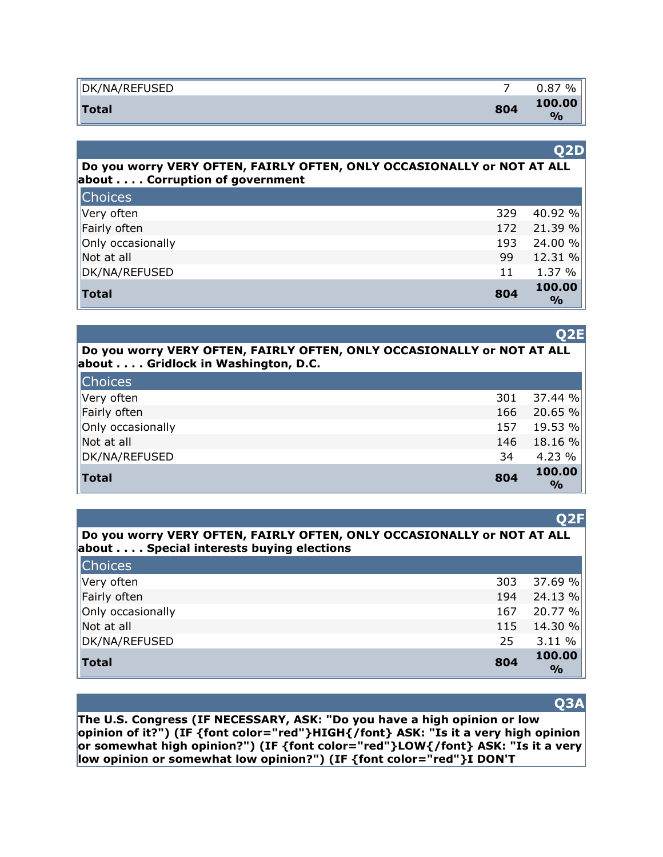| DK/NA/REFUSED |     | 0.87<br>$\frac{0}{0}$   |
|---------------|-----|-------------------------|
| <b>Total</b>  | 804 | 100.00<br>$\frac{1}{2}$ |

#### **Q2D**

**Q2E**

**Q2F**

**Do you worry VERY OFTEN, FAIRLY OFTEN, ONLY OCCASIONALLY or NOT AT ALL about . . . . Corruption of government** 

| <b>Total</b>      | 804 | 100.00<br>$\frac{6}{6}$ |
|-------------------|-----|-------------------------|
| DK/NA/REFUSED     | 11  | 1.37 $%$                |
| Not at all        | 99  | 12.31 %                 |
| Only occasionally | 193 | 24.00 %                 |
| Fairly often      |     | 172 21.39 %             |
| Very often        | 329 | 40.92 %                 |
| <b>Choices</b>    |     |                         |

#### **Do you worry VERY OFTEN, FAIRLY OFTEN, ONLY OCCASIONALLY or NOT AT ALL about . . . . Gridlock in Washington, D.C.**

| <b>Choices</b>    |     |                         |
|-------------------|-----|-------------------------|
| Very often        | 301 | 37.44 %                 |
| Fairly often      | 166 | 20.65 %                 |
| Only occasionally | 157 | 19.53 %                 |
| Not at all        | 146 | $18.16\%$               |
| DK/NA/REFUSED     | 34  | 4.23 %                  |
| <b>Total</b>      | 804 | 100.00<br>$\frac{1}{2}$ |

|                                                                        | $\sim$ $-$ |
|------------------------------------------------------------------------|------------|
| Do you worry VERY OFTEN, FAIRLY OFTEN, ONLY OCCASIONALLY or NOT AT ALL |            |
| about Special interests buying elections                               |            |

| <b>Choices</b>    |     |                         |
|-------------------|-----|-------------------------|
| Very often        | 303 | 37.69 %                 |
| Fairly often      | 194 | 24.13%                  |
| Only occasionally | 167 | 20.77%                  |
| Not at all        | 115 | 14.30 %                 |
| DK/NA/REFUSED     | 25  | 3.11%                   |
| <b>Total</b>      | 804 | 100.00<br>$\frac{1}{2}$ |

#### **Q3A**

**The U.S. Congress (IF NECESSARY, ASK: "Do you have a high opinion or low opinion of it?") (IF {font color="red"}HIGH{/font} ASK: "Is it a very high opinion or somewhat high opinion?") (IF {font color="red"}LOW{/font} ASK: "Is it a very low opinion or somewhat low opinion?") (IF {font color="red"}I DON'T**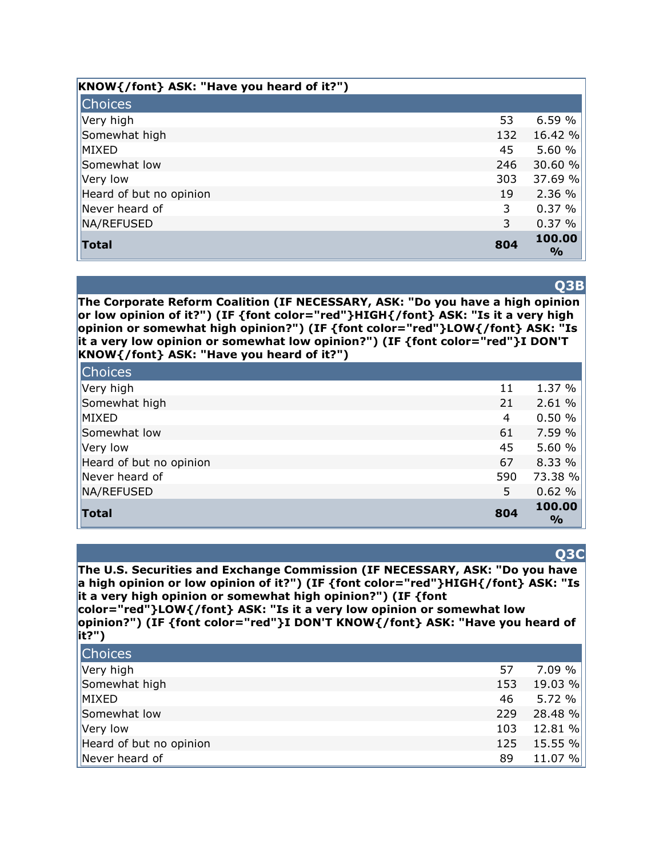| KNOW{/font} ASK: "Have you heard of it?") |     |                         |
|-------------------------------------------|-----|-------------------------|
| <b>Choices</b>                            |     |                         |
| Very high                                 | 53  | 6.59%                   |
| Somewhat high                             | 132 | 16.42 %                 |
| MIXED                                     | 45  | 5.60 %                  |
| Somewhat low                              | 246 | 30.60 %                 |
| Very low                                  | 303 | 37.69 %                 |
| Heard of but no opinion                   | 19  | 2.36 %                  |
| Never heard of                            | 3   | 0.37%                   |
| NA/REFUSED                                | 3   | 0.37%                   |
| <b>Total</b>                              | 804 | 100.00<br>$\frac{6}{9}$ |

#### **Q3B**

**The Corporate Reform Coalition (IF NECESSARY, ASK: "Do you have a high opinion or low opinion of it?") (IF {font color="red"}HIGH{/font} ASK: "Is it a very high opinion or somewhat high opinion?") (IF {font color="red"}LOW{/font} ASK: "Is it a very low opinion or somewhat low opinion?") (IF {font color="red"}I DON'T KNOW{/font} ASK: "Have you heard of it?")** 

| <b>Total</b>            | 804 | 100.00<br>$\frac{6}{9}$ |
|-------------------------|-----|-------------------------|
| NA/REFUSED              | 5   | 0.62%                   |
| Never heard of          | 590 | 73.38 %                 |
| Heard of but no opinion | 67  | 8.33 %                  |
| Very low                | 45  | 5.60 %                  |
| Somewhat low            | 61  | 7.59 %                  |
| MIXED                   | 4   | 0.50%                   |
| Somewhat high           | 21  | 2.61 %                  |
| Very high               | 11  | 1.37 %                  |
| <b>Choices</b>          |     |                         |

#### **Q3C**

**The U.S. Securities and Exchange Commission (IF NECESSARY, ASK: "Do you have a high opinion or low opinion of it?") (IF {font color="red"}HIGH{/font} ASK: "Is it a very high opinion or somewhat high opinion?") (IF {font** 

**color="red"}LOW{/font} ASK: "Is it a very low opinion or somewhat low opinion?") (IF {font color="red"}I DON'T KNOW{/font} ASK: "Have you heard of it?")** 

| <b>Choices</b>          |     |         |
|-------------------------|-----|---------|
| Very high               | 57  | 7.09%   |
| Somewhat high           | 153 | 19.03 % |
| MIXED                   | 46  | 5.72%   |
| Somewhat low            | 229 | 28.48 % |
| Very low                | 103 | 12.81 % |
| Heard of but no opinion | 125 | 15.55 % |
| Never heard of          | 89  | 11.07 % |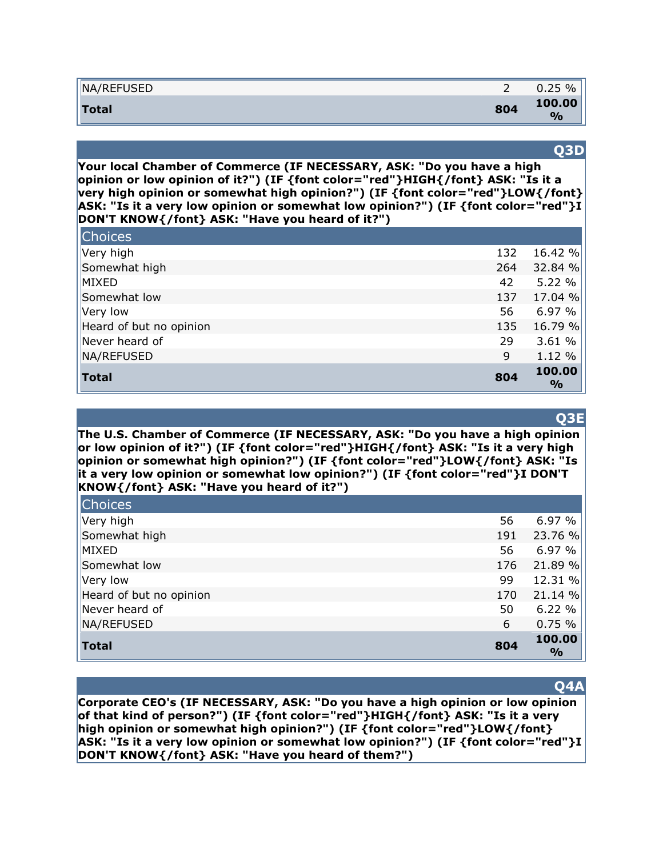| NA/REFUSED   |     | $\%$<br>0.25             |
|--------------|-----|--------------------------|
| <b>Total</b> | 804 | 100.00<br>$\mathbf{O}/c$ |

#### **Q3D**

**Your local Chamber of Commerce (IF NECESSARY, ASK: "Do you have a high opinion or low opinion of it?") (IF {font color="red"}HIGH{/font} ASK: "Is it a very high opinion or somewhat high opinion?") (IF {font color="red"}LOW{/font} ASK: "Is it a very low opinion or somewhat low opinion?") (IF {font color="red"}I DON'T KNOW{/font} ASK: "Have you heard of it?")** 

| <b>Choices</b>          |     |                         |
|-------------------------|-----|-------------------------|
| Very high               | 132 | 16.42 %                 |
| Somewhat high           | 264 | 32.84 %                 |
| MIXED                   | 42  | 5.22 %                  |
| Somewhat low            | 137 | 17.04 %                 |
| Very low                | 56  | 6.97%                   |
| Heard of but no opinion | 135 | 16.79 %                 |
| Never heard of          | 29  | 3.61 %                  |
| NA/REFUSED              | 9   | 1.12 %                  |
| <b>Total</b>            | 804 | 100.00<br>$\frac{9}{0}$ |

#### **Q3E**

**The U.S. Chamber of Commerce (IF NECESSARY, ASK: "Do you have a high opinion or low opinion of it?") (IF {font color="red"}HIGH{/font} ASK: "Is it a very high opinion or somewhat high opinion?") (IF {font color="red"}LOW{/font} ASK: "Is it a very low opinion or somewhat low opinion?") (IF {font color="red"}I DON'T KNOW{/font} ASK: "Have you heard of it?")** 

| <b>Choices</b>          |     |                         |
|-------------------------|-----|-------------------------|
| Very high               | 56  | 6.97 %                  |
| Somewhat high           | 191 | 23.76 %                 |
| MIXED                   | 56  | 6.97 %                  |
| Somewhat low            | 176 | 21.89 %                 |
| Very low                | 99  | 12.31 %                 |
| Heard of but no opinion | 170 | 21.14 %                 |
| Never heard of          | 50  | 6.22%                   |
| NA/REFUSED              | 6   | 0.75%                   |
| <b>Total</b>            | 804 | 100.00<br>$\frac{6}{9}$ |

### **Q4A**

**Corporate CEO's (IF NECESSARY, ASK: "Do you have a high opinion or low opinion of that kind of person?") (IF {font color="red"}HIGH{/font} ASK: "Is it a very high opinion or somewhat high opinion?") (IF {font color="red"}LOW{/font} ASK: "Is it a very low opinion or somewhat low opinion?") (IF {font color="red"}I DON'T KNOW{/font} ASK: "Have you heard of them?")**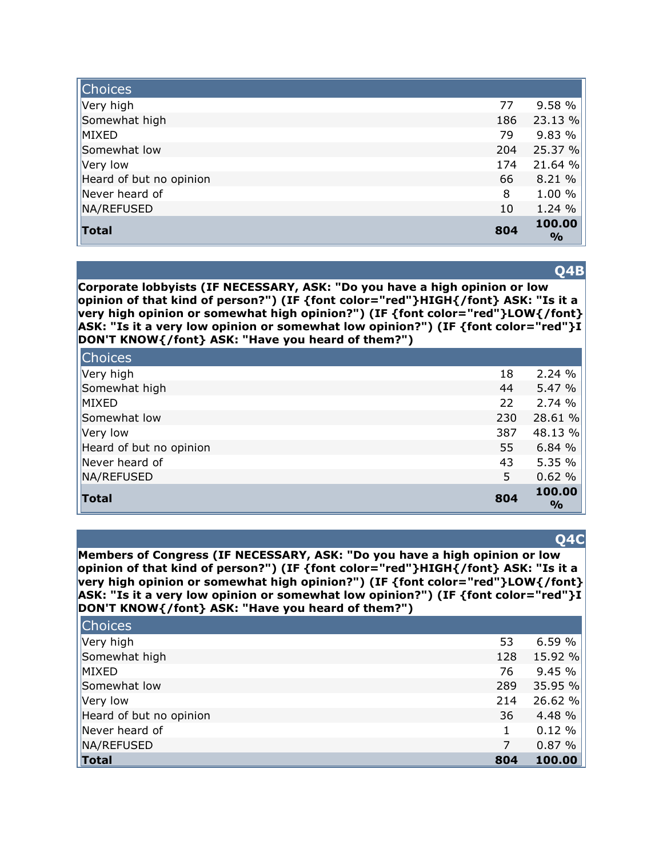| <b>Choices</b>          |     |                         |
|-------------------------|-----|-------------------------|
| Very high               | 77  | 9.58 %                  |
| Somewhat high           | 186 | 23.13 %                 |
| MIXED                   | 79  | 9.83 %                  |
| Somewhat low            | 204 | 25.37 %                 |
| Very low                | 174 | 21.64 %                 |
| Heard of but no opinion | 66  | 8.21 %                  |
| Never heard of          | 8   | 1.00 %                  |
| NA/REFUSED              | 10  | 1.24 %                  |
| <b>Total</b>            | 804 | 100.00<br>$\frac{6}{9}$ |

**Q4B**

**Corporate lobbyists (IF NECESSARY, ASK: "Do you have a high opinion or low opinion of that kind of person?") (IF {font color="red"}HIGH{/font} ASK: "Is it a very high opinion or somewhat high opinion?") (IF {font color="red"}LOW{/font} ASK: "Is it a very low opinion or somewhat low opinion?") (IF {font color="red"}I DON'T KNOW{/font} ASK: "Have you heard of them?")** 

| <b>Choices</b>          |     |                         |
|-------------------------|-----|-------------------------|
| Very high               | 18  | 2.24%                   |
| Somewhat high           | 44  | 5.47 %                  |
| MIXED                   | 22  | 2.74%                   |
| Somewhat low            | 230 | 28.61 %                 |
| Very low                | 387 | 48.13 %                 |
| Heard of but no opinion | 55  | 6.84 %                  |
| Never heard of          | 43  | 5.35 %                  |
| NA/REFUSED              | 5   | 0.62%                   |
| <b>Total</b>            | 804 | 100.00<br>$\frac{6}{9}$ |

#### **Q4C**

**Members of Congress (IF NECESSARY, ASK: "Do you have a high opinion or low opinion of that kind of person?") (IF {font color="red"}HIGH{/font} ASK: "Is it a very high opinion or somewhat high opinion?") (IF {font color="red"}LOW{/font} ASK: "Is it a very low opinion or somewhat low opinion?") (IF {font color="red"}I DON'T KNOW{/font} ASK: "Have you heard of them?")** 

| <b>Choices</b>          |     |         |
|-------------------------|-----|---------|
| Very high               | 53  | 6.59%   |
| Somewhat high           | 128 | 15.92 % |
| MIXED                   | 76  | 9.45 %  |
| Somewhat low            | 289 | 35.95 % |
| Very low                | 214 | 26.62 % |
| Heard of but no opinion | 36  | 4.48 %  |
| Never heard of          |     | 0.12%   |
| NA/REFUSED              | 7   | 0.87%   |
| <b>Total</b>            | 804 | 100.00  |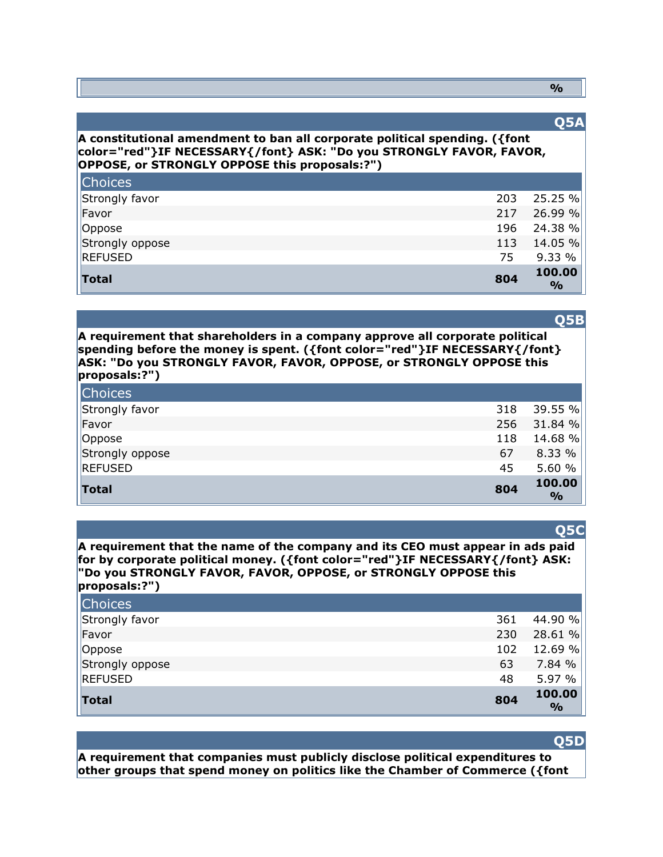#### **%**

### **Q5A**

#### **A constitutional amendment to ban all corporate political spending. ({font color="red"}IF NECESSARY{/font} ASK: "Do you STRONGLY FAVOR, FAVOR, OPPOSE, or STRONGLY OPPOSE this proposals:?")**

| Total           | 804 | 100.00<br>$\frac{6}{6}$ |
|-----------------|-----|-------------------------|
| REFUSED         | 75  | 9.33 %                  |
| Strongly oppose | 113 | 14.05 %                 |
| Oppose          |     | 196 24.38 %             |
| Favor           | 217 | 26.99 %                 |
| Strongly favor  | 203 | 25.25 %                 |
| <b>Choices</b>  |     |                         |

## **Q5B**

**A requirement that shareholders in a company approve all corporate political spending before the money is spent. ({font color="red"}IF NECESSARY{/font} ASK: "Do you STRONGLY FAVOR, FAVOR, OPPOSE, or STRONGLY OPPOSE this proposals:?")** 

| <b>Choices</b>  |     |                         |
|-----------------|-----|-------------------------|
| Strongly favor  | 318 | 39.55 %                 |
| Favor           | 256 | 31.84 %                 |
| Oppose          | 118 | 14.68 %                 |
| Strongly oppose | 67  | 8.33%                   |
| <b>REFUSED</b>  | 45  | 5.60 $%$                |
| Total           | 804 | 100.00<br>$\frac{0}{0}$ |

#### **Q5C**

**A requirement that the name of the company and its CEO must appear in ads paid for by corporate political money. ({font color="red"}IF NECESSARY{/font} ASK: "Do you STRONGLY FAVOR, FAVOR, OPPOSE, or STRONGLY OPPOSE this proposals:?")** 

| <b>Total</b>    | 804 | 100.00<br>$\frac{9}{0}$ |
|-----------------|-----|-------------------------|
| REFUSED         | 48  | 5.97 %                  |
| Strongly oppose | 63  | 7.84 %                  |
| Oppose          | 102 | 12.69 %                 |
| Favor           | 230 | 28.61 %                 |
| Strongly favor  | 361 | 44.90 %                 |
| <b>Choices</b>  |     |                         |

#### **Q5D**

**A requirement that companies must publicly disclose political expenditures to other groups that spend money on politics like the Chamber of Commerce ({font**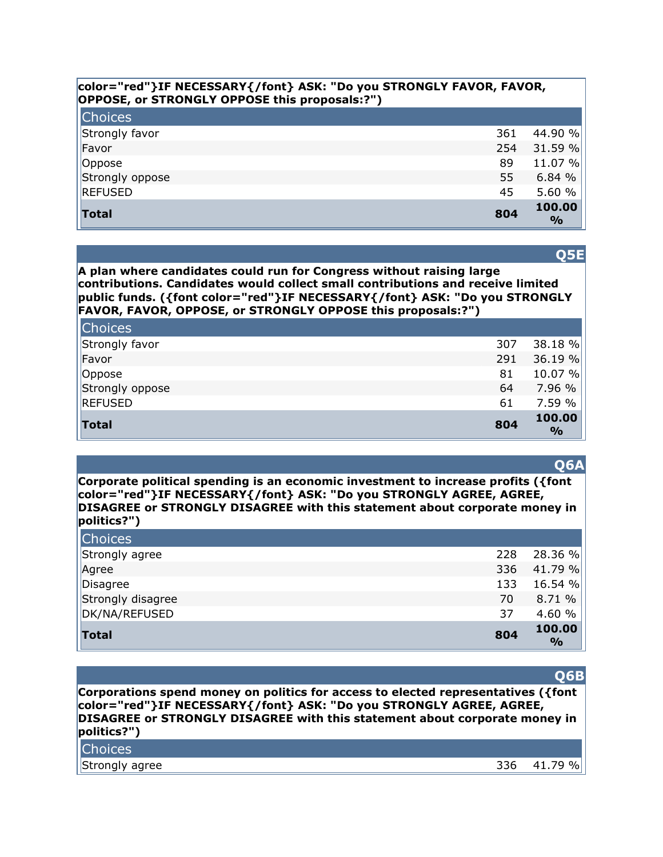#### **color="red"}IF NECESSARY{/font} ASK: "Do you STRONGLY FAVOR, FAVOR, OPPOSE, or STRONGLY OPPOSE this proposals:?")**

| <b>Choices</b>  |     |                         |
|-----------------|-----|-------------------------|
| Strongly favor  | 361 | 44.90 %                 |
| Favor           | 254 | 31.59 %                 |
| Oppose          | 89  | 11.07 %                 |
| Strongly oppose | 55  | 6.84%                   |
| <b>REFUSED</b>  | 45  | 5.60 %                  |
| <b>Total</b>    | 804 | 100.00<br>$\frac{0}{0}$ |

**A plan where candidates could run for Congress without raising large contributions. Candidates would collect small contributions and receive limited public funds. ({font color="red"}IF NECESSARY{/font} ASK: "Do you STRONGLY FAVOR, FAVOR, OPPOSE, or STRONGLY OPPOSE this proposals:?")** 

| <b>Choices</b>  |     |                         |
|-----------------|-----|-------------------------|
| Strongly favor  | 307 | 38.18%                  |
| Favor           | 291 | 36.19%                  |
| Oppose          | 81  | 10.07 %                 |
| Strongly oppose | 64  | 7.96 %                  |
| <b>REFUSED</b>  | 61  | 7.59 %                  |
| <b>Total</b>    | 804 | 100.00<br>$\frac{0}{0}$ |

**Corporate political spending is an economic investment to increase profits ({font color="red"}IF NECESSARY{/font} ASK: "Do you STRONGLY AGREE, AGREE, DISAGREE or STRONGLY DISAGREE with this statement about corporate money in politics?")** 

| <b>Choices</b>    |     |                         |
|-------------------|-----|-------------------------|
| Strongly agree    | 228 | 28.36 %                 |
| Agree             | 336 | 41.79%                  |
| Disagree          | 133 | 16.54 %                 |
| Strongly disagree | 70  | 8.71 %                  |
| DK/NA/REFUSED     | 37  | 4.60 %                  |
| Total             | 804 | 100.00<br>$\frac{O}{O}$ |

#### **Q6B**

**Corporations spend money on politics for access to elected representatives ({font color="red"}IF NECESSARY{/font} ASK: "Do you STRONGLY AGREE, AGREE, DISAGREE or STRONGLY DISAGREE with this statement about corporate money in politics?")** 

| Choices        |     |                    |
|----------------|-----|--------------------|
| Strongly agree | 336 | $\%$<br>70.<br>4 I |

**Q5E**

#### **Q6A**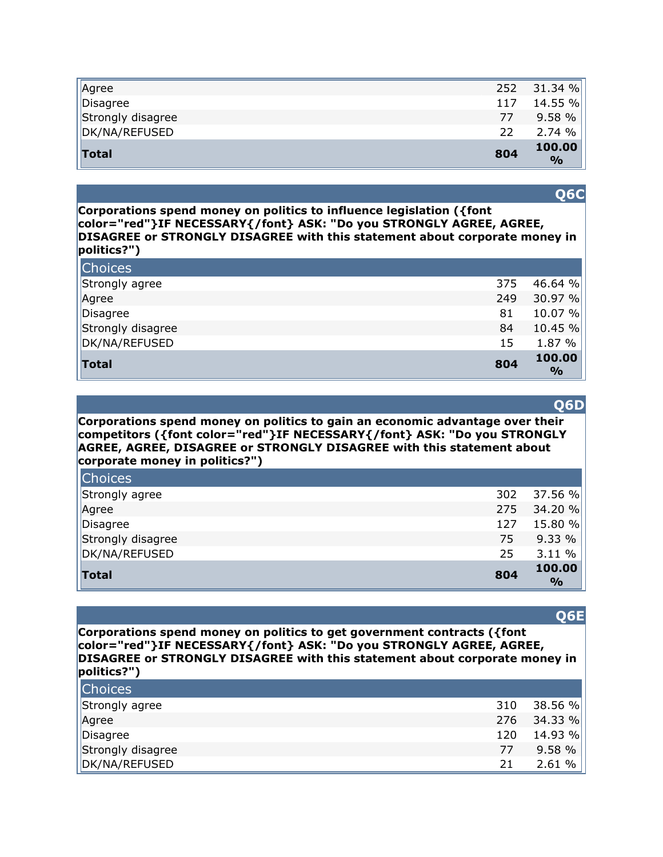| Agree             | 252 | 31.34%                  |
|-------------------|-----|-------------------------|
| Disagree          | 117 | 14.55 %                 |
| Strongly disagree | 77  | 9.58%                   |
| DK/NA/REFUSED     | 22  | 2.74%                   |
| <b>Total</b>      | 804 | 100.00<br>$\frac{0}{0}$ |

**Corporations spend money on politics to influence legislation ({font color="red"}IF NECESSARY{/font} ASK: "Do you STRONGLY AGREE, AGREE, DISAGREE or STRONGLY DISAGREE with this statement about corporate money in politics?")** 

| <b>Choices</b>    |     |                         |
|-------------------|-----|-------------------------|
| Strongly agree    | 375 | 46.64 %                 |
| Agree             | 249 | 30.97 %                 |
| Disagree          | 81  | 10.07 %                 |
| Strongly disagree | 84  | 10.45%                  |
| DK/NA/REFUSED     | 15  | 1.87 %                  |
| Total             | 804 | 100.00<br>$\frac{1}{2}$ |

**Corporations spend money on politics to gain an economic advantage over their competitors ({font color="red"}IF NECESSARY{/font} ASK: "Do you STRONGLY AGREE, AGREE, DISAGREE or STRONGLY DISAGREE with this statement about corporate money in politics?")** 

| <b>Total</b>      | 804 | 100.00<br>$\frac{6}{2}$ |
|-------------------|-----|-------------------------|
| DK/NA/REFUSED     | 25  | 3.11 %                  |
| Strongly disagree | 75  | 9.33%                   |
| Disagree          | 127 | 15.80 %                 |
| Agree             | 275 | 34.20 %                 |
| Strongly agree    | 302 | 37.56 %                 |
| <b>Choices</b>    |     |                         |

**Corporations spend money on politics to get government contracts ({font color="red"}IF NECESSARY{/font} ASK: "Do you STRONGLY AGREE, AGREE, DISAGREE or STRONGLY DISAGREE with this statement about corporate money in politics?")** 

| <b>Choices</b>    |     |         |
|-------------------|-----|---------|
| Strongly agree    | 310 | 38.56 % |
| Agree             | 276 | 34.33 % |
| Disagree          | 120 | 14.93 % |
| Strongly disagree | 77  | 9.58%   |
| DK/NA/REFUSED     | 21  | 2.61%   |

#### **Q6E**

# **Q6C**

**Q6D**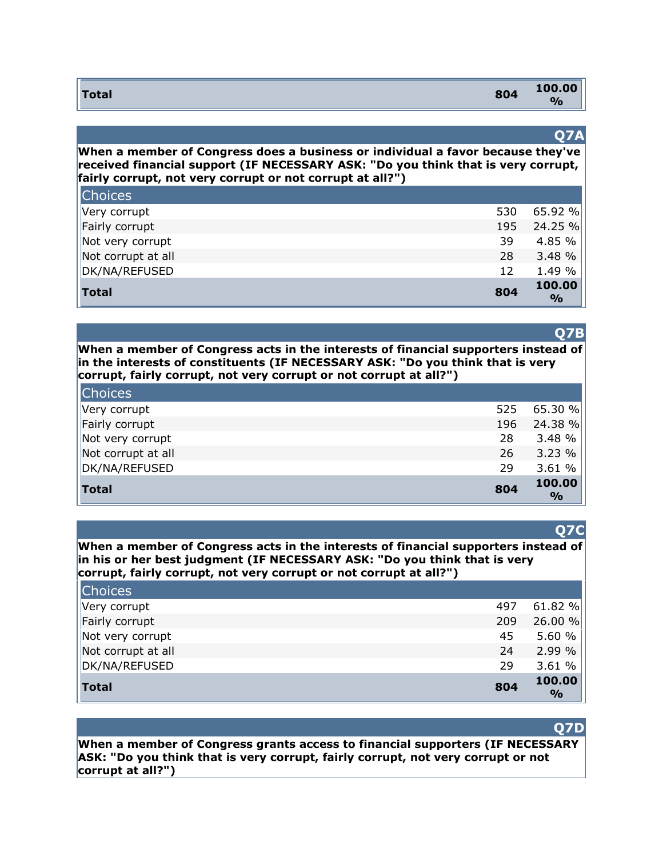| <b>Total</b> | 804 | 100.00        |
|--------------|-----|---------------|
|              |     | $\frac{1}{2}$ |

#### **Q7A**

**When a member of Congress does a business or individual a favor because they've received financial support (IF NECESSARY ASK: "Do you think that is very corrupt, fairly corrupt, not very corrupt or not corrupt at all?")** 

| <b>Total</b>       | 804 | 100.00<br>$\frac{0}{0}$ |
|--------------------|-----|-------------------------|
| DK/NA/REFUSED      | 12  | 1.49 %                  |
| Not corrupt at all | 28  | 3.48 %                  |
| Not very corrupt   | 39  | 4.85 %                  |
| Fairly corrupt     | 195 | 24.25 %                 |
| Very corrupt       | 530 | 65.92%                  |
| <b>Choices</b>     |     |                         |

### **Q7B**

**When a member of Congress acts in the interests of financial supporters instead of in the interests of constituents (IF NECESSARY ASK: "Do you think that is very corrupt, fairly corrupt, not very corrupt or not corrupt at all?")** 

| <b>Choices</b>     |     |                         |
|--------------------|-----|-------------------------|
| Very corrupt       | 525 | $65.30 \%$              |
| Fairly corrupt     | 196 | 24.38 %                 |
| Not very corrupt   | 28  | 3.48 %                  |
| Not corrupt at all | 26  | 3.23%                   |
| DK/NA/REFUSED      | 29  | 3.61%                   |
| Total              | 804 | 100.00<br>$\frac{0}{0}$ |

#### **When a member of Congress acts in the interests of financial supporters instead of in his or her best judgment (IF NECESSARY ASK: "Do you think that is very corrupt, fairly corrupt, not very corrupt or not corrupt at all?")**

| <b>Choices</b>     |     |                         |
|--------------------|-----|-------------------------|
| Very corrupt       | 497 | 61.82%                  |
| Fairly corrupt     | 209 | 26.00 %                 |
| Not very corrupt   | 45  | 5.60 $%$                |
| Not corrupt at all | 24  | 2.99%                   |
| DK/NA/REFUSED      | 29  | 3.61%                   |
| Total              | 804 | 100.00<br>$\frac{1}{2}$ |

#### **Q7D**

**When a member of Congress grants access to financial supporters (IF NECESSARY ASK: "Do you think that is very corrupt, fairly corrupt, not very corrupt or not corrupt at all?")** 

#### **Q7C**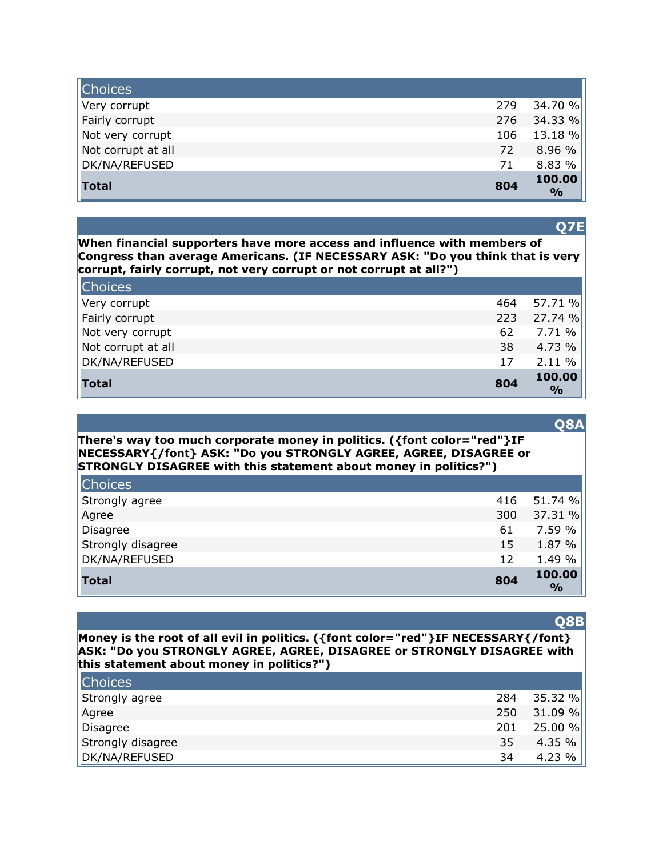| <b>Choices</b>     |     |                         |
|--------------------|-----|-------------------------|
| Very corrupt       | 279 | 34.70 %                 |
| Fairly corrupt     | 276 | 34.33%                  |
| Not very corrupt   | 106 | $13.18 \%$              |
| Not corrupt at all | 72  | 8.96 %                  |
| DK/NA/REFUSED      | 71  | 8.83 %                  |
| <b>Total</b>       | 804 | 100.00<br>$\frac{9}{0}$ |

**Q7E**

**When financial supporters have more access and influence with members of Congress than average Americans. (IF NECESSARY ASK: "Do you think that is very corrupt, fairly corrupt, not very corrupt or not corrupt at all?")** 

| <b>Choices</b>     |     |                         |
|--------------------|-----|-------------------------|
| Very corrupt       | 464 | 57.71 %                 |
| Fairly corrupt     | 223 | 27.74 %                 |
| Not very corrupt   | 62  | 7.71 %                  |
| Not corrupt at all | 38  | 4.73 %                  |
| DK/NA/REFUSED      | 17  | 2.11%                   |
| Total              | 804 | 100.00<br>$\frac{1}{2}$ |

| There's way too much corporate money in politics. ({font color="red"}IF |
|-------------------------------------------------------------------------|
| NECESSARY{/font} ASK: "Do you STRONGLY AGREE, AGREE, DISAGREE or        |
| STRONGLY DISAGREE with this statement about money in politics?")        |
|                                                                         |

| <b>Choices</b>    |     |                         |
|-------------------|-----|-------------------------|
| Strongly agree    | 416 | 51.74 %                 |
| Agree             | 300 | 37.31 %                 |
| Disagree          | 61  | 7.59%                   |
| Strongly disagree | 15  | 1.87 %                  |
| DK/NA/REFUSED     | 12  | 1.49 %                  |
| <b>Total</b>      | 804 | 100.00<br>$\frac{0}{0}$ |

#### **Money is the root of all evil in politics. ({font color="red"}IF NECESSARY{/font} ASK: "Do you STRONGLY AGREE, AGREE, DISAGREE or STRONGLY DISAGREE with this statement about money in politics?")**

| <b>Choices</b>    |     |         |
|-------------------|-----|---------|
| Strongly agree    | 284 | 35.32 % |
| Agree             | 250 | 31.09 % |
| Disagree          | 201 | 25.00 % |
| Strongly disagree | 35  | 4.35 %  |
| DK/NA/REFUSED     | 34  | 4.23 %  |

#### **Q8B**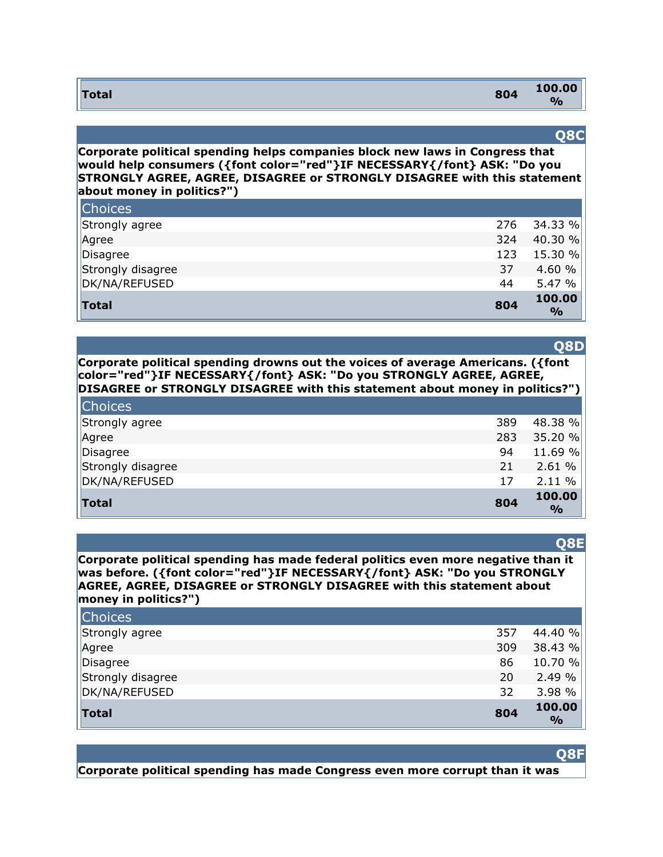| <b>Total</b> | 804 | 100.00 |
|--------------|-----|--------|
|              |     | 0/2    |

#### **Q8C**

**Corporate political spending helps companies block new laws in Congress that would help consumers ({font color="red"}IF NECESSARY{/font} ASK: "Do you STRONGLY AGREE, AGREE, DISAGREE or STRONGLY DISAGREE with this statement about money in politics?")** 

| <b>Total</b>      | 804 | 100.00<br>$\frac{1}{2}$ |
|-------------------|-----|-------------------------|
| DK/NA/REFUSED     | 44  | 5.47%                   |
| Strongly disagree | 37  | 4.60 %                  |
| Disagree          | 123 | 15.30 %                 |
| Agree             | 324 | 40.30 %                 |
| Strongly agree    | 276 | 34.33 %                 |
| <b>Choices</b>    |     |                         |

**Corporate political spending drowns out the voices of average Americans. ({font color="red"}IF NECESSARY{/font} ASK: "Do you STRONGLY AGREE, AGREE, DISAGREE or STRONGLY DISAGREE with this statement about money in politics?")** 

| <b>Choices</b>    |     |                         |
|-------------------|-----|-------------------------|
| Strongly agree    | 389 | 48.38 %                 |
| Agree             | 283 | 35.20 %                 |
| Disagree          | 94  | 11.69 %                 |
| Strongly disagree | 21  | 2.61%                   |
| DK/NA/REFUSED     | 17  | 2.11%                   |
| <b>Total</b>      | 804 | 100.00<br>$\frac{0}{0}$ |

#### **Q8E**

**Corporate political spending has made federal politics even more negative than it was before. ({font color="red"}IF NECESSARY{/font} ASK: "Do you STRONGLY AGREE, AGREE, DISAGREE or STRONGLY DISAGREE with this statement about money in politics?")** 

| <b>Choices</b>    |     |                         |
|-------------------|-----|-------------------------|
| Strongly agree    | 357 | 44.40 %                 |
| Agree             | 309 | 38.43 %                 |
| Disagree          | 86  | 10.70 %                 |
| Strongly disagree | 20  | 2.49%                   |
| DK/NA/REFUSED     | 32  | 3.98 %                  |
| <b>Total</b>      | 804 | 100.00<br>$\frac{O}{O}$ |

**Corporate political spending has made Congress even more corrupt than it was** 

# **Q8D**

**Q8F**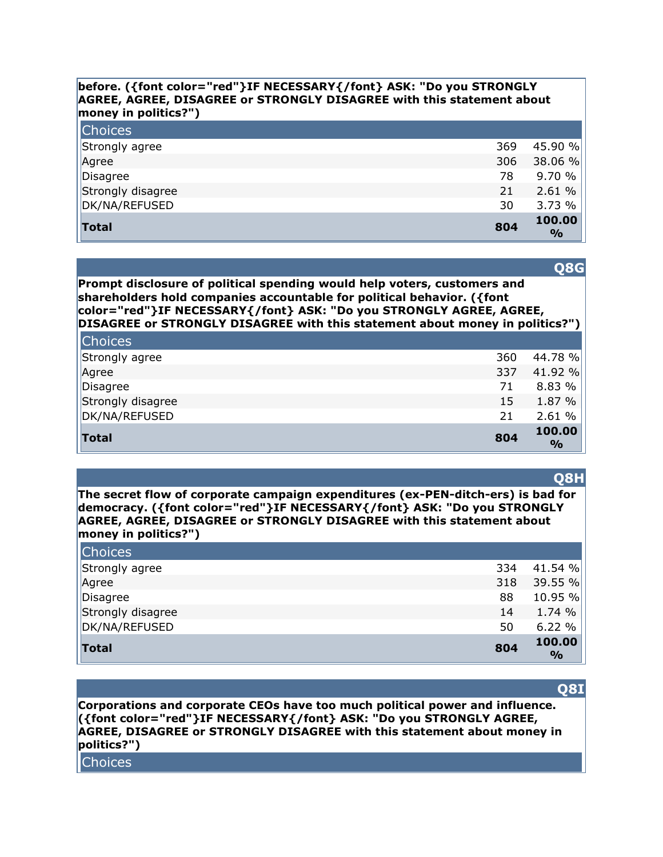#### **before. ({font color="red"}IF NECESSARY{/font} ASK: "Do you STRONGLY AGREE, AGREE, DISAGREE or STRONGLY DISAGREE with this statement about money in politics?")**

| <b>Choices</b>    |     |                         |
|-------------------|-----|-------------------------|
| Strongly agree    | 369 | 45.90 %                 |
| Agree             | 306 | 38.06 %                 |
| Disagree          | 78  | 9.70%                   |
| Strongly disagree | 21  | 2.61%                   |
| DK/NA/REFUSED     | 30  | 3.73%                   |
| Total             | 804 | 100.00<br>$\frac{0}{0}$ |

**Q8G**

**Prompt disclosure of political spending would help voters, customers and shareholders hold companies accountable for political behavior. ({font color="red"}IF NECESSARY{/font} ASK: "Do you STRONGLY AGREE, AGREE, DISAGREE or STRONGLY DISAGREE with this statement about money in politics?")** 

| <b>Total</b>      | 804 | 100.00<br>$\frac{0}{0}$ |
|-------------------|-----|-------------------------|
| DK/NA/REFUSED     | 21  | 2.61%                   |
| Strongly disagree | 15  | 1.87 %                  |
| Disagree          | 71  | 8.83 %                  |
| Agree             | 337 | 41.92 %                 |
| Strongly agree    | 360 | 44.78 %                 |
| <b>Choices</b>    |     |                         |

**The secret flow of corporate campaign expenditures (ex-PEN-ditch-ers) is bad for democracy. ({font color="red"}IF NECESSARY{/font} ASK: "Do you STRONGLY AGREE, AGREE, DISAGREE or STRONGLY DISAGREE with this statement about money in politics?")** 

| <b>Choices</b>    |     |                         |
|-------------------|-----|-------------------------|
| Strongly agree    | 334 | 41.54 %                 |
| Agree             | 318 | 39.55 %                 |
| Disagree          | 88  | 10.95 %                 |
| Strongly disagree | 14  | 1.74 %                  |
| DK/NA/REFUSED     | 50  | 6.22%                   |
| Total             | 804 | 100.00<br>$\frac{1}{2}$ |

#### **Q8I**

**Corporations and corporate CEOs have too much political power and influence. ({font color="red"}IF NECESSARY{/font} ASK: "Do you STRONGLY AGREE, AGREE, DISAGREE or STRONGLY DISAGREE with this statement about money in politics?")** 

**Choices** 

#### **Q8H**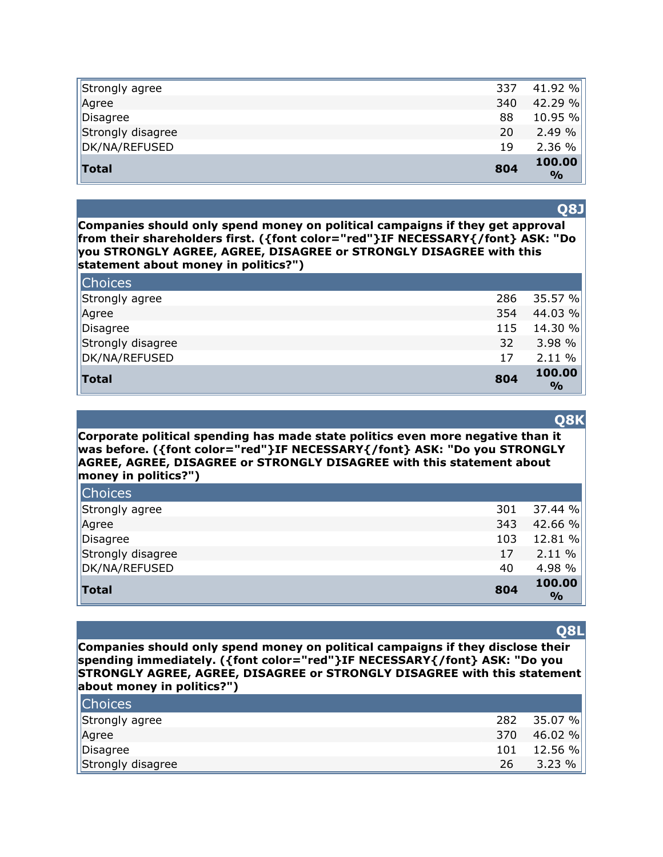| Total             | 804 | 100.00<br>$\frac{1}{2}$ |
|-------------------|-----|-------------------------|
| DK/NA/REFUSED     | 19  | 2.36 %                  |
| Strongly disagree | 20  | 2.49%                   |
| Disagree          | 88  | 10.95 %                 |
| Agree             | 340 | 42.29 %                 |
| Strongly agree    | 337 | 41.92 %                 |

#### **Q8J**

**Companies should only spend money on political campaigns if they get approval from their shareholders first. ({font color="red"}IF NECESSARY{/font} ASK: "Do you STRONGLY AGREE, AGREE, DISAGREE or STRONGLY DISAGREE with this statement about money in politics?")** 

| <b>Choices</b>    |     |                         |
|-------------------|-----|-------------------------|
| Strongly agree    | 286 | 35.57 %                 |
| Agree             | 354 | 44.03 %                 |
| Disagree          | 115 | 14.30 %                 |
| Strongly disagree | 32  | 3.98%                   |
| DK/NA/REFUSED     | 17  | $2.11 \%$               |
| Total             | 804 | 100.00<br>$\frac{6}{6}$ |

#### **Q8K**

**Corporate political spending has made state politics even more negative than it was before. ({font color="red"}IF NECESSARY{/font} ASK: "Do you STRONGLY AGREE, AGREE, DISAGREE or STRONGLY DISAGREE with this statement about money in politics?")** 

| <b>Total</b>      | 804 | 100.00<br>$\frac{0}{0}$ |
|-------------------|-----|-------------------------|
| DK/NA/REFUSED     | 40  | 4.98 %                  |
| Strongly disagree | 17  | 2.11%                   |
| Disagree          | 103 | 12.81 %                 |
| Agree             | 343 | 42.66 %                 |
| Strongly agree    | 301 | 37.44%                  |
| <b>Choices</b>    |     |                         |

#### **Companies should only spend money on political campaigns if they disclose their spending immediately. ({font color="red"}IF NECESSARY{/font} ASK: "Do you STRONGLY AGREE, AGREE, DISAGREE or STRONGLY DISAGREE with this statement about money in politics?")**

| <b>Choices</b>    |     |             |
|-------------------|-----|-------------|
| Strongly agree    |     | 282 35.07 % |
| Agree             | 370 | 46.02 %     |
| Disagree          | 101 | 12.56 %     |
| Strongly disagree | 26  | 3.23%       |

#### **Q8L**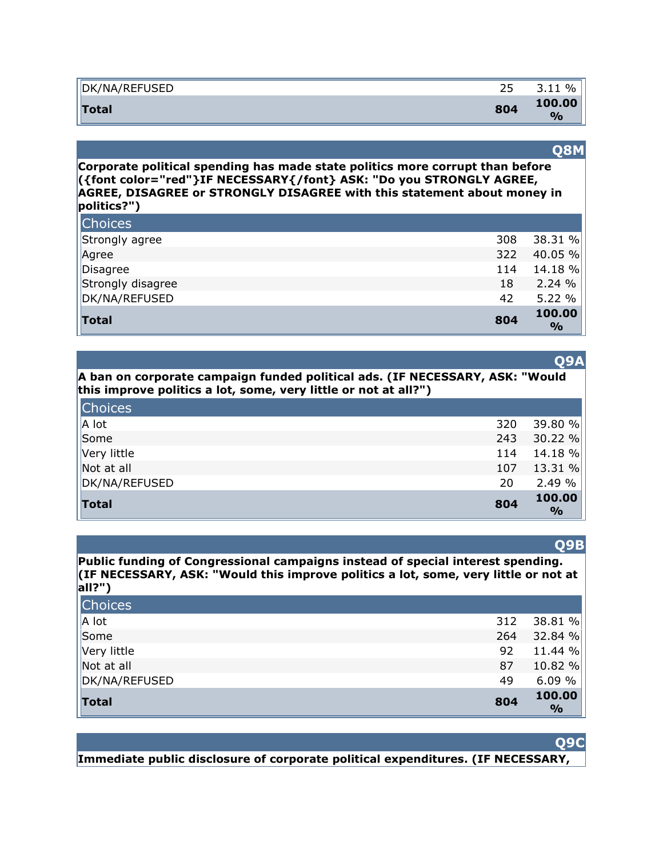| '/NA/REFUSED | ~ r | $\%$            |
|--------------|-----|-----------------|
| DK           | ر ے | ∽               |
| <b>Total</b> | 804 | 100.00<br>$O_0$ |

#### **Q8M**

**Corporate political spending has made state politics more corrupt than before ({font color="red"}IF NECESSARY{/font} ASK: "Do you STRONGLY AGREE, AGREE, DISAGREE or STRONGLY DISAGREE with this statement about money in politics?")** 

| <b>Total</b>      | 804 | 100.00<br>$\frac{6}{9}$ |
|-------------------|-----|-------------------------|
| DK/NA/REFUSED     | 42  | 5.22 %                  |
| Strongly disagree | 18  | 2.24%                   |
| Disagree          | 114 | 14.18 %                 |
| Agree             | 322 | 40.05 $%$               |
| Strongly agree    | 308 | 38.31 %                 |
| <b>Choices</b>    |     |                         |

|                                                                 | A ban on corporate campaign funded political ads. (IF NECESSARY, ASK: "Would |
|-----------------------------------------------------------------|------------------------------------------------------------------------------|
| this improve politics a lot, some, very little or not at all?") |                                                                              |

| <b>Choices</b>      |     |                         |
|---------------------|-----|-------------------------|
| $\vert A \vert$ lot | 320 | 39.80 %                 |
| Some                | 243 | 30.22%                  |
| Very little         | 114 | $14.18 \%$              |
| Not at all          | 107 | 13.31%                  |
| DK/NA/REFUSED       | 20  | 2.49%                   |
| Total               | 804 | 100.00<br>$\frac{0}{0}$ |

#### **Q9B**

**Public funding of Congressional campaigns instead of special interest spending. (IF NECESSARY, ASK: "Would this improve politics a lot, some, very little or not at all?")** 

| <b>Total</b>       | 804 | 100.00<br>$\frac{1}{2}$ |
|--------------------|-----|-------------------------|
| DK/NA/REFUSED      | 49  | 6.09%                   |
| $\vert$ Not at all | 87  | 10.82 %                 |
| Very little        | 92  | 11.44 %                 |
| Some               | 264 | 32.84 %                 |
| A lot              | 312 | 38.81 %                 |
| <b>Choices</b>     |     |                         |

#### **Q9C**

**Immediate public disclosure of corporate political expenditures. (IF NECESSARY,** 

#### **Q9A**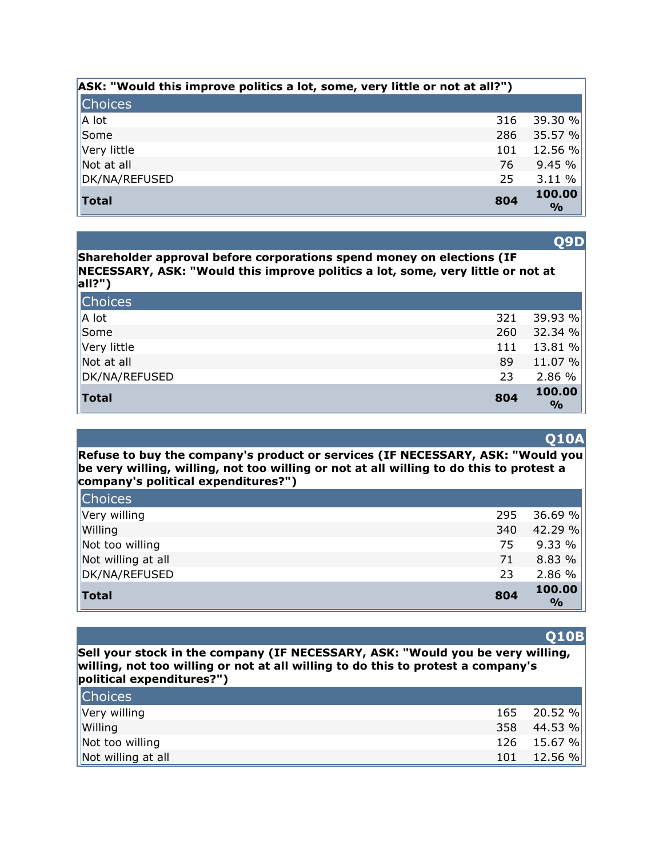| ASK: "Would this improve politics a lot, some, very little or not at all?") |     |                         |
|-----------------------------------------------------------------------------|-----|-------------------------|
| <b>Choices</b>                                                              |     |                         |
| $  A $ lot                                                                  | 316 | 39.30 %                 |
| Some                                                                        | 286 | 35.57 %                 |
| Very little                                                                 | 101 | 12.56 %                 |
| Not at all                                                                  | 76  | 9.45%                   |
| DK/NA/REFUSED                                                               | 25  | 3.11 %                  |
| Total                                                                       | 804 | 100.00<br>$\frac{9}{0}$ |

**Shareholder approval before corporations spend money on elections (IF NECESSARY, ASK: "Would this improve politics a lot, some, very little or not at all?")** 

| Choices       |     |                         |
|---------------|-----|-------------------------|
| $  A $ lot    | 321 | 39.93 %                 |
| Some          | 260 | 32.34%                  |
| Very little   | 111 | 13.81 %                 |
| Not at all    | 89  | 11.07 %                 |
| DK/NA/REFUSED | 23  | 2.86 %                  |
| $\vert$ Total | 804 | 100.00<br>$\frac{6}{9}$ |

**Refuse to buy the company's product or services (IF NECESSARY, ASK: "Would you be very willing, willing, not too willing or not at all willing to do this to protest a company's political expenditures?")** 

| <b>Choices</b>     |     |                         |
|--------------------|-----|-------------------------|
| Very willing       | 295 | 36.69%                  |
| Willing            | 340 | 42.29 %                 |
| Not too willing    | 75  | 9.33%                   |
| Not willing at all | 71  | 8.83 %                  |
| DK/NA/REFUSED      | 23  | 2.86 %                  |
| Total              | 804 | 100.00<br>$\frac{1}{2}$ |

#### **Q10B**

**Sell your stock in the company (IF NECESSARY, ASK: "Would you be very willing, willing, not too willing or not at all willing to do this to protest a company's political expenditures?")** 

| <b>Choices</b>     |             |
|--------------------|-------------|
| Very willing       | 165 20.52 % |
| Willing            | 358 44.53 % |
| Not too willing    | 126 15.67 % |
| Not willing at all | 101 12.56 % |

**Q9D**

# **Q10A**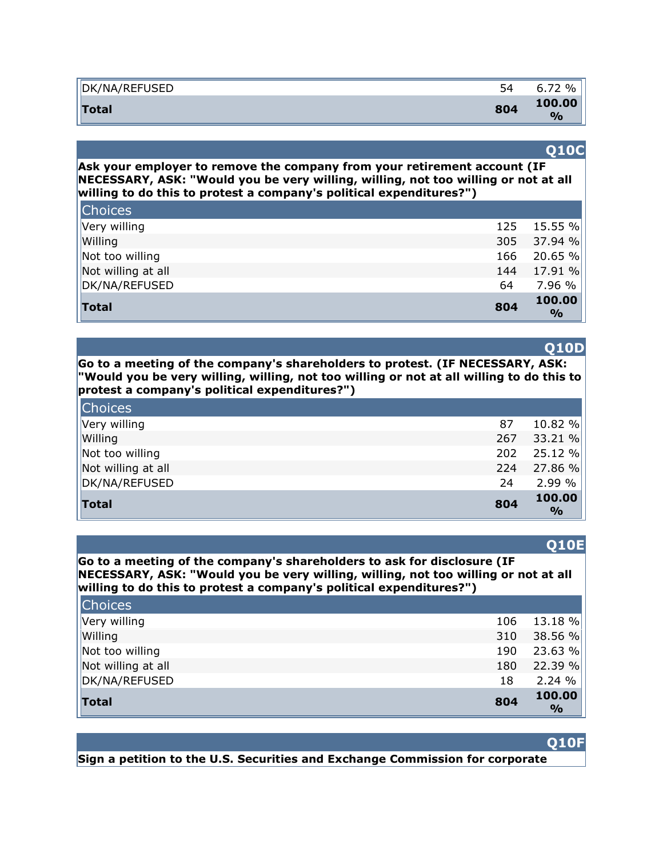| DK/NA/REFUSED | ັ   | $\%$<br>$\lnot$<br>b.,  |
|---------------|-----|-------------------------|
| Total         | 804 | 100.00<br>$\frac{1}{2}$ |

#### **Q10C**

**Ask your employer to remove the company from your retirement account (IF NECESSARY, ASK: "Would you be very willing, willing, not too willing or not at all willing to do this to protest a company's political expenditures?")** 

| Not too willing<br>Not willing at all | 166<br>144 | 20.65 %<br>17.91%       |
|---------------------------------------|------------|-------------------------|
| DK/NA/REFUSED                         | 64         | 7.96 %                  |
| Total                                 | 804        | 100.00<br>$\frac{1}{2}$ |

**Go to a meeting of the company's shareholders to protest. (IF NECESSARY, ASK: "Would you be very willing, willing, not too willing or not at all willing to do this to protest a company's political expenditures?")** 

| Choices            |     |                         |
|--------------------|-----|-------------------------|
| Very willing       | 87  | 10.82 %                 |
| Willing            | 267 | 33.21 %                 |
| Not too willing    | 202 | 25.12%                  |
| Not willing at all | 224 | 27.86 %                 |
| DK/NA/REFUSED      | 24  | 2.99 %                  |
| <b>Total</b>       | 804 | 100.00<br>$\frac{1}{2}$ |

#### **Q10E**

**Go to a meeting of the company's shareholders to ask for disclosure (IF NECESSARY, ASK: "Would you be very willing, willing, not too willing or not at all willing to do this to protest a company's political expenditures?")** 

| Total              | 804 | 100.00<br>$\frac{9}{0}$ |
|--------------------|-----|-------------------------|
| DK/NA/REFUSED      | 18  | 2.24%                   |
| Not willing at all | 180 | 22.39 %                 |
| Not too willing    | 190 | 23.63 %                 |
| Willing            | 310 | 38.56 %                 |
| Very willing       | 106 | 13.18 %                 |
| <b>Choices</b>     |     |                         |

#### **Q10F**

**Sign a petition to the U.S. Securities and Exchange Commission for corporate** 

#### **Q10D**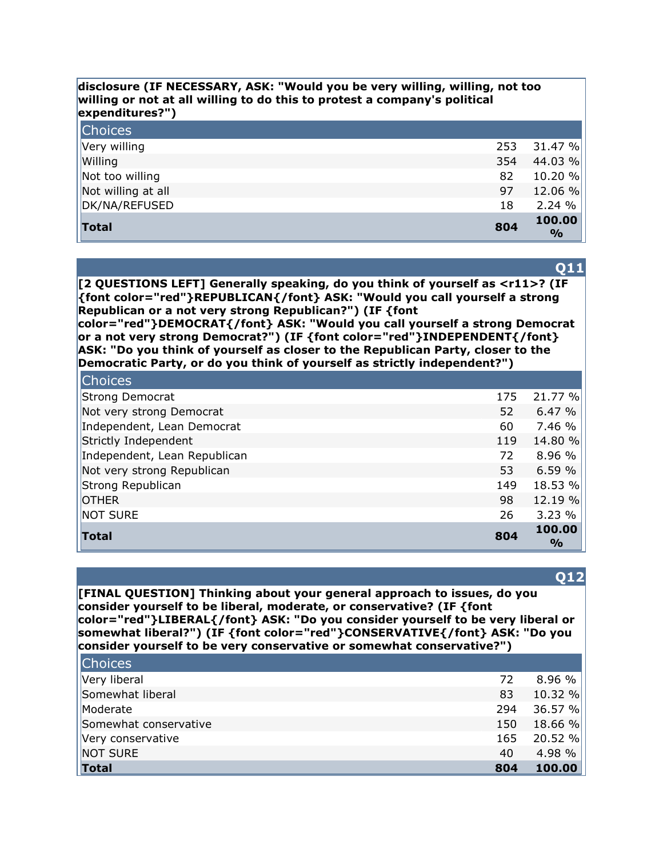#### **disclosure (IF NECESSARY, ASK: "Would you be very willing, willing, not too willing or not at all willing to do this to protest a company's political expenditures?")**

| <b>Choices</b>     |     |                         |
|--------------------|-----|-------------------------|
| Very willing       | 253 | 31.47%                  |
| Willing            | 354 | 44.03 %                 |
| Not too willing    | 82  | 10.20 %                 |
| Not willing at all | 97  | 12.06 %                 |
| DK/NA/REFUSED      | 18  | 2.24%                   |
| <b>Total</b>       | 804 | 100.00<br>$\frac{0}{0}$ |

**Q11**

**[2 QUESTIONS LEFT] Generally speaking, do you think of yourself as <r11>? (IF {font color="red"}REPUBLICAN{/font} ASK: "Would you call yourself a strong Republican or a not very strong Republican?") (IF {font** 

**color="red"}DEMOCRAT{/font} ASK: "Would you call yourself a strong Democrat or a not very strong Democrat?") (IF {font color="red"}INDEPENDENT{/font} ASK: "Do you think of yourself as closer to the Republican Party, closer to the Democratic Party, or do you think of yourself as strictly independent?")** 

| <b>Choices</b>               |     |                         |
|------------------------------|-----|-------------------------|
| Strong Democrat              | 175 | 21.77 %                 |
| Not very strong Democrat     | 52  | 6.47%                   |
| Independent, Lean Democrat   | 60  | 7.46 %                  |
| Strictly Independent         | 119 | 14.80 %                 |
| Independent, Lean Republican | 72  | 8.96 %                  |
| Not very strong Republican   | 53  | 6.59%                   |
| Strong Republican            | 149 | 18.53 %                 |
| <b>OTHER</b>                 | 98  | 12.19 %                 |
| NOT SURE                     | 26  | 3.23%                   |
| <b>Total</b>                 | 804 | 100.00<br>$\frac{0}{0}$ |

#### **Q12**

**[FINAL QUESTION] Thinking about your general approach to issues, do you consider yourself to be liberal, moderate, or conservative? (IF {font color="red"}LIBERAL{/font} ASK: "Do you consider yourself to be very liberal or somewhat liberal?") (IF {font color="red"}CONSERVATIVE{/font} ASK: "Do you consider yourself to be very conservative or somewhat conservative?")** 

| <b>Choices</b>        |     |          |
|-----------------------|-----|----------|
| Very liberal          | 72  | 8.96%    |
| Somewhat liberal      | 83  | 10.32 %  |
| Moderate              | 294 | 36.57 %  |
| Somewhat conservative | 150 | 18.66 %  |
| Very conservative     | 165 | 20.52 %  |
| NOT SURE              | 40  | 4.98 $%$ |
| Total                 | 804 | 100.00   |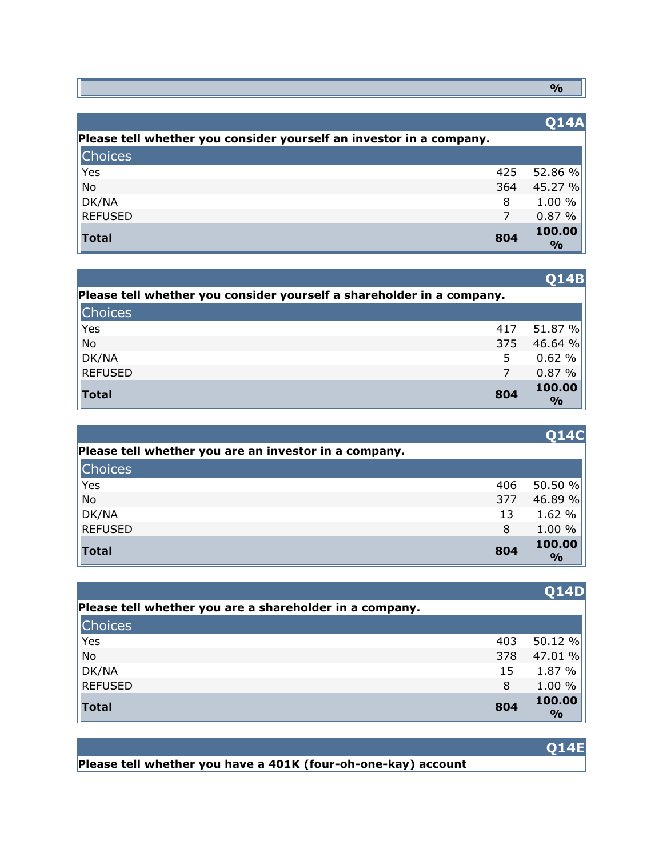**%**

|                                                                     |     | <b>014A</b>             |
|---------------------------------------------------------------------|-----|-------------------------|
| Please tell whether you consider yourself an investor in a company. |     |                         |
| <b>Choices</b>                                                      |     |                         |
| Yes                                                                 | 425 | 52.86 %                 |
| No                                                                  | 364 | 45.27 %                 |
| $\vert$ DK/NA                                                       | 8   | 1.00 %                  |
| <b>REFUSED</b>                                                      | 7   | 0.87%                   |
| <b>Total</b>                                                        | 804 | 100.00<br>$\frac{6}{9}$ |

|                                                                       |     | V14D                    |
|-----------------------------------------------------------------------|-----|-------------------------|
| Please tell whether you consider yourself a shareholder in a company. |     |                         |
| <b>Choices</b>                                                        |     |                         |
| Yes                                                                   | 417 | 51.87 %                 |
| $\vert$ No                                                            | 375 | 46.64 %                 |
| $\vert$ DK/NA                                                         | 5   | 0.62%                   |
| REFUSED                                                               |     | 0.87%                   |
| Total                                                                 | 804 | 100.00<br>$\frac{1}{2}$ |

|                                                       |     | <b>Q14C</b>             |
|-------------------------------------------------------|-----|-------------------------|
| Please tell whether you are an investor in a company. |     |                         |
| <b>Choices</b>                                        |     |                         |
| Yes                                                   | 406 | 50.50 $%$               |
| N <sub>o</sub>                                        | 377 | 46.89 %                 |
| $\vert$ DK/NA                                         | 13  | 1.62 %                  |
| REFUSED                                               | 8   | 1.00 %                  |
| <b>Total</b>                                          | 804 | 100.00<br>$\frac{6}{6}$ |

|                                                         |     | V14D        |
|---------------------------------------------------------|-----|-------------|
| Please tell whether you are a shareholder in a company. |     |             |
| <b>Choices</b>                                          |     |             |
| Yes                                                     | 403 | 50.12 %     |
| $\overline{\phantom{a}}$ No                             | 378 | 47.01 %     |
| $\vert$ DK/NA                                           | 15  | 1.87 %      |
| REFUSED                                                 | 8   | 1.00 %      |
| <b>Total</b>                                            | 804 | 100.00<br>% |

**Please tell whether you have a 401K (four-oh-one-kay) account** 

# **Q14B**

# **Q14D**

# **Q14E**